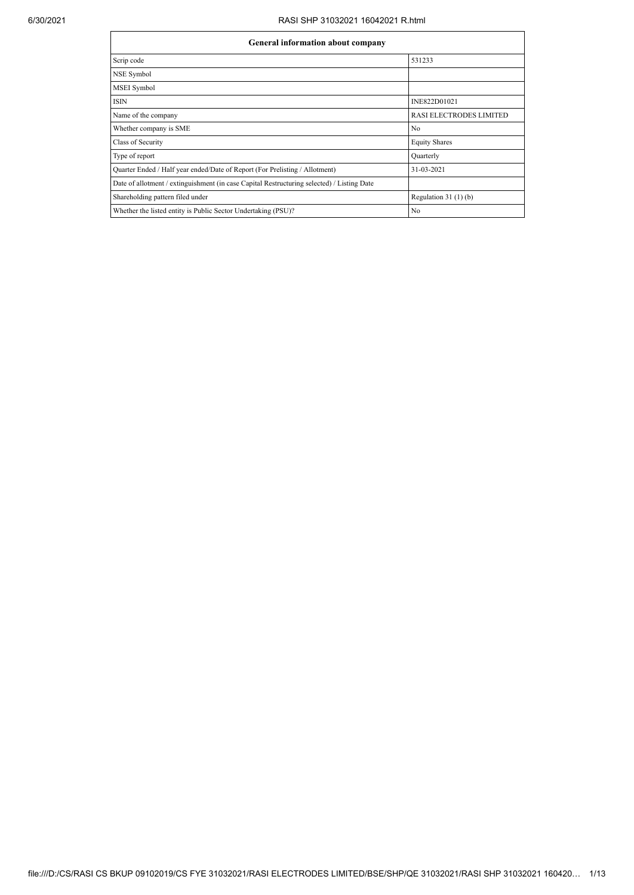## 6/30/2021 RASI SHP 31032021 16042021 R.html

| General information about company                                                          |                         |  |  |  |  |  |  |
|--------------------------------------------------------------------------------------------|-------------------------|--|--|--|--|--|--|
| Scrip code                                                                                 | 531233                  |  |  |  |  |  |  |
| NSE Symbol                                                                                 |                         |  |  |  |  |  |  |
| <b>MSEI</b> Symbol                                                                         |                         |  |  |  |  |  |  |
| <b>ISIN</b>                                                                                | INE822D01021            |  |  |  |  |  |  |
| Name of the company                                                                        | RASI ELECTRODES LIMITED |  |  |  |  |  |  |
| Whether company is SME                                                                     | N <sub>0</sub>          |  |  |  |  |  |  |
| Class of Security                                                                          | <b>Equity Shares</b>    |  |  |  |  |  |  |
| Type of report                                                                             | Quarterly               |  |  |  |  |  |  |
| Quarter Ended / Half year ended/Date of Report (For Prelisting / Allotment)                | 31-03-2021              |  |  |  |  |  |  |
| Date of allotment / extinguishment (in case Capital Restructuring selected) / Listing Date |                         |  |  |  |  |  |  |
| Shareholding pattern filed under                                                           | Regulation $31(1)(b)$   |  |  |  |  |  |  |
| Whether the listed entity is Public Sector Undertaking (PSU)?                              | N <sub>0</sub>          |  |  |  |  |  |  |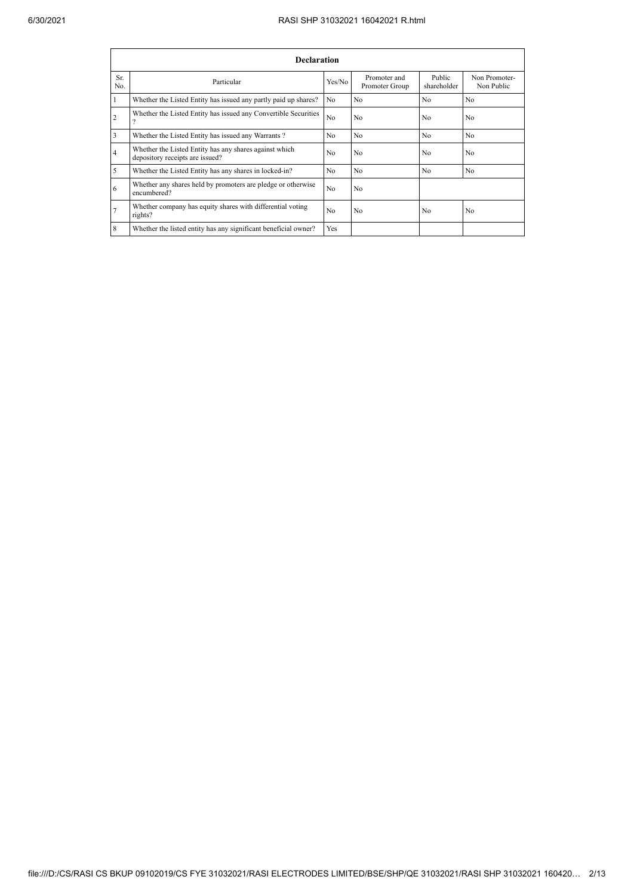|                | <b>Declaration</b>                                                                        |                |                                |                       |                             |  |  |  |  |  |
|----------------|-------------------------------------------------------------------------------------------|----------------|--------------------------------|-----------------------|-----------------------------|--|--|--|--|--|
| Sr.<br>No.     | Particular                                                                                | Yes/No         | Promoter and<br>Promoter Group | Public<br>shareholder | Non Promoter-<br>Non Public |  |  |  |  |  |
|                | Whether the Listed Entity has issued any partly paid up shares?                           | N <sub>0</sub> | N <sub>0</sub>                 | N <sub>o</sub>        | N <sub>0</sub>              |  |  |  |  |  |
| $\overline{2}$ | Whether the Listed Entity has issued any Convertible Securities                           | N <sub>0</sub> | N <sub>0</sub>                 | N <sub>0</sub>        | N <sub>0</sub>              |  |  |  |  |  |
| 3              | Whether the Listed Entity has issued any Warrants?                                        | N <sub>0</sub> | N <sub>0</sub>                 | N <sub>o</sub>        | N <sub>0</sub>              |  |  |  |  |  |
| 4              | Whether the Listed Entity has any shares against which<br>depository receipts are issued? | No.            | N <sub>0</sub>                 | No                    | N <sub>0</sub>              |  |  |  |  |  |
| 5              | Whether the Listed Entity has any shares in locked-in?                                    | N <sub>0</sub> | N <sub>0</sub>                 | N <sub>0</sub>        | N <sub>0</sub>              |  |  |  |  |  |
| 6              | Whether any shares held by promoters are pledge or otherwise<br>encumbered?               | N <sub>0</sub> | N <sub>0</sub>                 |                       |                             |  |  |  |  |  |
|                | Whether company has equity shares with differential voting<br>rights?                     | N <sub>0</sub> | N <sub>0</sub>                 | N <sub>0</sub>        | N <sub>0</sub>              |  |  |  |  |  |
| 8              | Whether the listed entity has any significant beneficial owner?                           | Yes            |                                |                       |                             |  |  |  |  |  |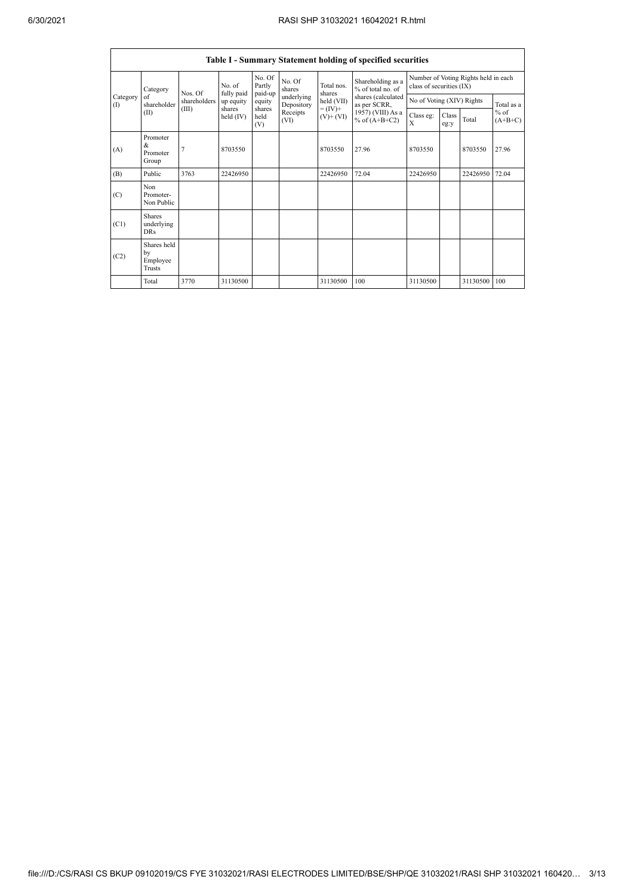| Table I - Summary Statement holding of specified securities |                                           |                  |                         |                             |                                              |                                            |                                                                            |                                                                  |               |          |                                   |
|-------------------------------------------------------------|-------------------------------------------|------------------|-------------------------|-----------------------------|----------------------------------------------|--------------------------------------------|----------------------------------------------------------------------------|------------------------------------------------------------------|---------------|----------|-----------------------------------|
|                                                             | Category                                  | No of<br>Nos. Of |                         | No. Of<br>Partly<br>paid-up | No. Of<br>shares                             | Total nos<br>shares                        | Shareholding as a<br>% of total no. of                                     | Number of Voting Rights held in each<br>class of securities (IX) |               |          |                                   |
| Category<br>(                                               | of<br>shareholder                         | shareholders     | fully paid<br>up equity | equity                      | underlying<br>Depository<br>Receipts<br>(VI) | held (VII)<br>$= (IV) +$<br>$(V)$ + $(VI)$ | shares (calculated<br>as per SCRR,<br>1957) (VIII) As a<br>% of $(A+B+C2)$ | No of Voting (XIV) Rights                                        |               |          | Total as a<br>$%$ of<br>$(A+B+C)$ |
|                                                             | (II)                                      | (III)            | shares<br>held $(IV)$   | shares<br>held<br>(V)       |                                              |                                            |                                                                            | Class eg:<br>X                                                   | Class<br>eg:y | Total    |                                   |
| (A)                                                         | Promoter<br>$\&$<br>Promoter<br>Group     | 7                | 8703550                 |                             |                                              | 8703550                                    | 27.96                                                                      | 8703550                                                          |               | 8703550  | 27.96                             |
| (B)                                                         | Public                                    | 3763             | 22426950                |                             |                                              | 22426950                                   | 72.04                                                                      | 22426950                                                         |               | 22426950 | 72.04                             |
| (C)                                                         | Non<br>Promoter-<br>Non Public            |                  |                         |                             |                                              |                                            |                                                                            |                                                                  |               |          |                                   |
| (C1)                                                        | <b>Shares</b><br>underlying<br><b>DRs</b> |                  |                         |                             |                                              |                                            |                                                                            |                                                                  |               |          |                                   |
| (C2)                                                        | Shares held<br>by<br>Employee<br>Trusts   |                  |                         |                             |                                              |                                            |                                                                            |                                                                  |               |          |                                   |
|                                                             | Total                                     | 3770             | 31130500                |                             |                                              | 31130500                                   | 100                                                                        | 31130500                                                         |               | 31130500 | 100                               |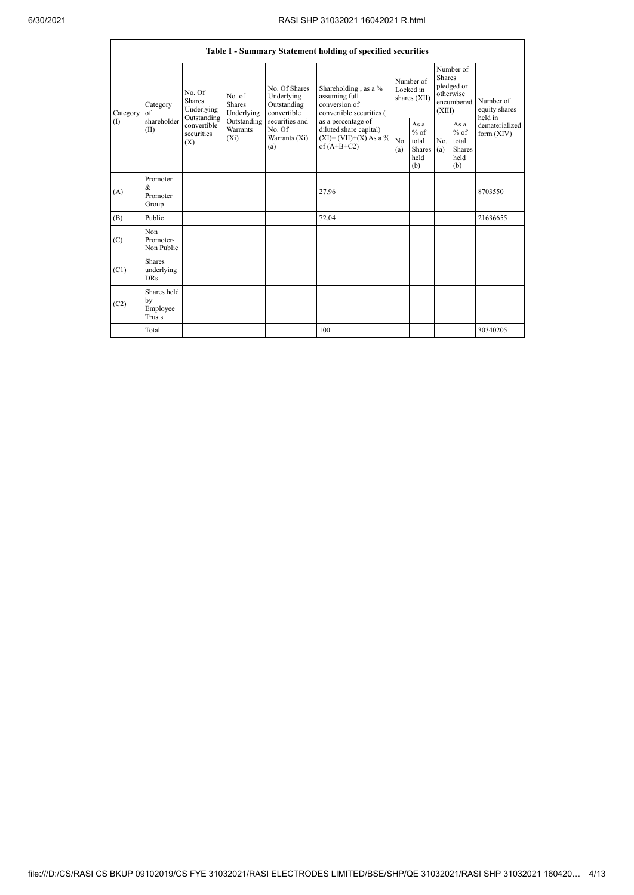| <b>Table I - Summary Statement holding of specified securities</b> |                                           |                                                      |                                                                      |                                                                                                               |                                                                                                                                                                                |                                        |                                                         |                                                                               |                                                         |                                       |
|--------------------------------------------------------------------|-------------------------------------------|------------------------------------------------------|----------------------------------------------------------------------|---------------------------------------------------------------------------------------------------------------|--------------------------------------------------------------------------------------------------------------------------------------------------------------------------------|----------------------------------------|---------------------------------------------------------|-------------------------------------------------------------------------------|---------------------------------------------------------|---------------------------------------|
| Category<br>(1)                                                    | Category<br>of<br>shareholder<br>(II)     | No. Of<br><b>Shares</b><br>Underlying<br>Outstanding | No. of<br>Shares<br>Underlying<br>Outstanding<br>Warrants<br>$(X_i)$ | No. Of Shares<br>Underlying<br>Outstanding<br>convertible<br>securities and<br>No. Of<br>Warrants (Xi)<br>(a) | Shareholding, as a %<br>assuming full<br>conversion of<br>convertible securities (<br>as a percentage of<br>diluted share capital)<br>$(XI)=(VII)+(X) As a %$<br>of $(A+B+C2)$ | Number of<br>Locked in<br>shares (XII) |                                                         | Number of<br><b>Shares</b><br>pledged or<br>otherwise<br>encumbered<br>(XIII) |                                                         | Number of<br>equity shares<br>held in |
|                                                                    |                                           | convertible<br>securities<br>(X)                     |                                                                      |                                                                                                               |                                                                                                                                                                                | No<br>(a)                              | As a<br>$%$ of<br>total<br><b>Shares</b><br>held<br>(b) | No.<br>(a)                                                                    | As a<br>$%$ of<br>total<br><b>Shares</b><br>held<br>(b) | dematerialized<br>form (XIV)          |
| (A)                                                                | Promoter<br>&<br>Promoter<br>Group        |                                                      |                                                                      |                                                                                                               | 27.96                                                                                                                                                                          |                                        |                                                         |                                                                               |                                                         | 8703550                               |
| (B)                                                                | Public                                    |                                                      |                                                                      |                                                                                                               | 72.04                                                                                                                                                                          |                                        |                                                         |                                                                               |                                                         | 21636655                              |
| (C)                                                                | Non<br>Promoter-<br>Non Public            |                                                      |                                                                      |                                                                                                               |                                                                                                                                                                                |                                        |                                                         |                                                                               |                                                         |                                       |
| (C1)                                                               | <b>Shares</b><br>underlying<br><b>DRs</b> |                                                      |                                                                      |                                                                                                               |                                                                                                                                                                                |                                        |                                                         |                                                                               |                                                         |                                       |
| (C2)                                                               | Shares held<br>by<br>Employee<br>Trusts   |                                                      |                                                                      |                                                                                                               |                                                                                                                                                                                |                                        |                                                         |                                                                               |                                                         |                                       |
|                                                                    | Total                                     |                                                      |                                                                      |                                                                                                               | 100                                                                                                                                                                            |                                        |                                                         |                                                                               |                                                         | 30340205                              |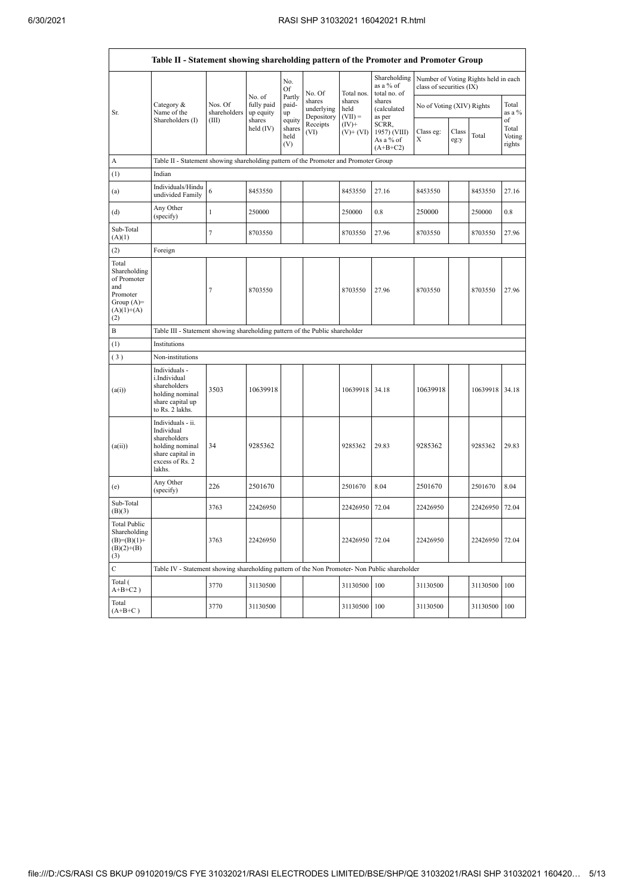|                                                                                                | Table II - Statement showing shareholding pattern of the Promoter and Promoter Group                                |                                  |                                             |                                 |                                    |                             |                                                  |                           |               |                                      |                           |
|------------------------------------------------------------------------------------------------|---------------------------------------------------------------------------------------------------------------------|----------------------------------|---------------------------------------------|---------------------------------|------------------------------------|-----------------------------|--------------------------------------------------|---------------------------|---------------|--------------------------------------|---------------------------|
|                                                                                                |                                                                                                                     |                                  |                                             | No.<br>Of                       | No. Of                             | Total nos.                  | Shareholding<br>as a % of<br>total no. of        | class of securities (IX)  |               | Number of Voting Rights held in each |                           |
| Sr.                                                                                            | Category &<br>Name of the<br>Shareholders (I)                                                                       | Nos. Of<br>shareholders<br>(III) | No. of<br>fully paid<br>up equity<br>shares | Partly<br>paid-<br>up<br>equity | shares<br>underlying<br>Depository | shares<br>held<br>$(VII) =$ | shares<br>(calculated<br>as per                  | No of Voting (XIV) Rights |               |                                      | Total<br>as a $%$<br>of   |
|                                                                                                |                                                                                                                     |                                  | held $(IV)$                                 | shares<br>held<br>(V)           | Receipts<br>(VI)                   | $(IV)+$<br>$(V)$ + $(VI)$   | SCRR,<br>1957) (VIII)<br>As a % of<br>$(A+B+C2)$ | Class eg:<br>Х            | Class<br>eg:y | Total                                | Total<br>Voting<br>rights |
| A                                                                                              | Table II - Statement showing shareholding pattern of the Promoter and Promoter Group                                |                                  |                                             |                                 |                                    |                             |                                                  |                           |               |                                      |                           |
| (1)                                                                                            | Indian                                                                                                              |                                  |                                             |                                 |                                    |                             |                                                  |                           |               |                                      |                           |
| (a)                                                                                            | Individuals/Hindu<br>undivided Family                                                                               | 6                                | 8453550                                     |                                 |                                    | 8453550                     | 27.16                                            | 8453550                   |               | 8453550                              | 27.16                     |
| (d)                                                                                            | Any Other<br>(specify)                                                                                              | $\mathbf{1}$                     | 250000                                      |                                 |                                    | 250000                      | 0.8                                              | 250000                    |               | 250000                               | 0.8                       |
| Sub-Total<br>(A)(1)                                                                            |                                                                                                                     | $\tau$                           | 8703550                                     |                                 |                                    | 8703550                     | 27.96                                            | 8703550                   |               | 8703550                              | 27.96                     |
| (2)                                                                                            | Foreign                                                                                                             |                                  |                                             |                                 |                                    |                             |                                                  |                           |               |                                      |                           |
| Total<br>Shareholding<br>of Promoter<br>and<br>Promoter<br>Group $(A)=$<br>$(A)(1)+(A)$<br>(2) |                                                                                                                     | $\overline{7}$                   | 8703550                                     |                                 |                                    | 8703550                     | 27.96                                            | 8703550                   |               | 8703550                              | 27.96                     |
| B                                                                                              | Table III - Statement showing shareholding pattern of the Public shareholder                                        |                                  |                                             |                                 |                                    |                             |                                                  |                           |               |                                      |                           |
| (1)                                                                                            | Institutions                                                                                                        |                                  |                                             |                                 |                                    |                             |                                                  |                           |               |                                      |                           |
| (3)                                                                                            | Non-institutions                                                                                                    |                                  |                                             |                                 |                                    |                             |                                                  |                           |               |                                      |                           |
| (a(i))                                                                                         | Individuals -<br>i.Individual<br>shareholders<br>holding nominal<br>share capital up<br>to Rs. 2 lakhs.             | 3503                             | 10639918                                    |                                 |                                    | 10639918 34.18              |                                                  | 10639918                  |               | 10639918                             | 34.18                     |
| (a(ii))                                                                                        | Individuals - ii.<br>Individual<br>shareholders<br>holding nominal<br>share capital in<br>excess of Rs. 2<br>lakhs. | 34                               | 9285362                                     |                                 |                                    | 9285362                     | 29.83                                            | 9285362                   |               | 9285362                              | 29.83                     |
| (e)                                                                                            | Any Other<br>(specify)                                                                                              | 226                              | 2501670                                     |                                 |                                    | 2501670                     | 8.04                                             | 2501670                   |               | 2501670                              | 8.04                      |
| Sub-Total<br>(B)(3)                                                                            |                                                                                                                     | 3763                             | 22426950                                    |                                 |                                    | 22426950                    | 72.04                                            | 22426950                  |               | 22426950                             | 72.04                     |
| <b>Total Public</b><br>Shareholding<br>$(B)=(B)(1)+$<br>$(B)(2)+(B)$<br>(3)                    |                                                                                                                     | 3763                             | 22426950                                    |                                 |                                    | 22426950 72.04              |                                                  | 22426950                  |               | 22426950                             | 72.04                     |
| $\mathbf C$                                                                                    | Table IV - Statement showing shareholding pattern of the Non Promoter- Non Public shareholder                       |                                  |                                             |                                 |                                    |                             |                                                  |                           |               |                                      |                           |
| Total (<br>$A+B+C2$ )                                                                          |                                                                                                                     | 3770                             | 31130500                                    |                                 |                                    | 31130500                    | 100                                              | 31130500                  |               | 31130500                             | 100                       |
| Total<br>$(A+B+C)$                                                                             |                                                                                                                     | 3770                             | 31130500                                    |                                 |                                    | 31130500                    | 100                                              | 31130500                  |               | 31130500                             | 100                       |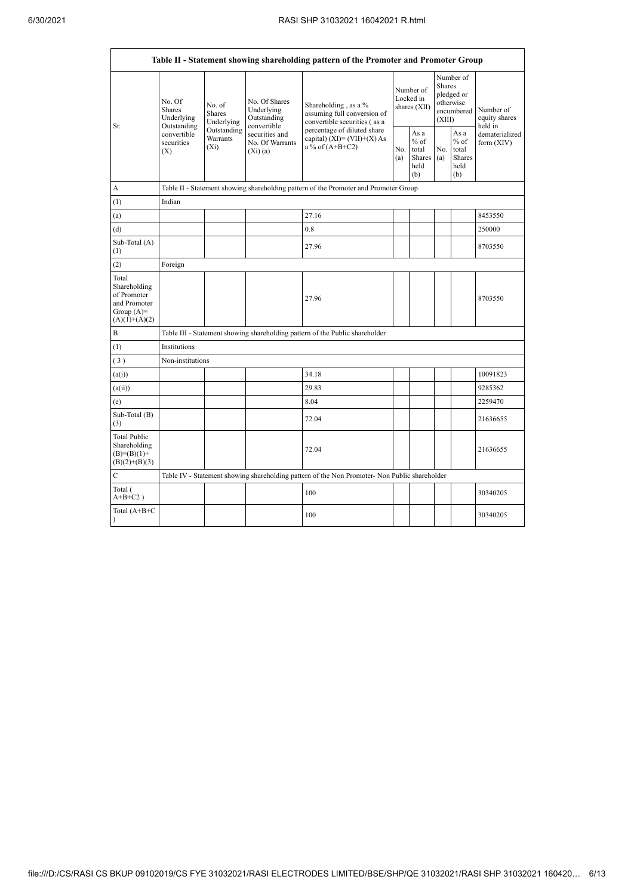| Table II - Statement showing shareholding pattern of the Promoter and Promoter Group    |                                                                  |                                    |                                                                                                                                                                                                                                                                                                                                                                                                                                                                                                      |                                                                                               |  |                                       |  |                                                         |                              |  |
|-----------------------------------------------------------------------------------------|------------------------------------------------------------------|------------------------------------|------------------------------------------------------------------------------------------------------------------------------------------------------------------------------------------------------------------------------------------------------------------------------------------------------------------------------------------------------------------------------------------------------------------------------------------------------------------------------------------------------|-----------------------------------------------------------------------------------------------|--|---------------------------------------|--|---------------------------------------------------------|------------------------------|--|
| Sr.                                                                                     | No. Of<br>No. of<br><b>Shares</b><br><b>Shares</b><br>Underlying | Underlying                         | Number of<br><b>Shares</b><br>Number of<br>pledged or<br>Locked in<br>No. Of Shares<br>otherwise<br>Shareholding, as a %<br>shares (XII)<br>Underlying<br>encumbered<br>assuming full conversion of<br>Outstanding<br>(XIII)<br>convertible securities (as a<br>convertible<br>percentage of diluted share<br>As a<br>securities and<br>capital) $(XI) = (VII)+(X) As$<br>$%$ of<br>No. Of Warrants<br>a % of $(A+B+C2)$<br>No.<br>total<br>No.<br>$(X_i)(a)$<br>Shares<br>(a)<br>(a)<br>held<br>(b) |                                                                                               |  | Number of<br>equity shares<br>held in |  |                                                         |                              |  |
|                                                                                         | Outstanding<br>convertible<br>securities<br>(X)                  | Outstanding<br>Warrants<br>$(X_i)$ |                                                                                                                                                                                                                                                                                                                                                                                                                                                                                                      |                                                                                               |  |                                       |  | As a<br>$%$ of<br>total<br><b>Shares</b><br>held<br>(b) | dematerialized<br>form (XIV) |  |
| A                                                                                       |                                                                  |                                    |                                                                                                                                                                                                                                                                                                                                                                                                                                                                                                      | Table II - Statement showing shareholding pattern of the Promoter and Promoter Group          |  |                                       |  |                                                         |                              |  |
| (1)                                                                                     | Indian                                                           |                                    |                                                                                                                                                                                                                                                                                                                                                                                                                                                                                                      |                                                                                               |  |                                       |  |                                                         |                              |  |
| (a)                                                                                     |                                                                  |                                    |                                                                                                                                                                                                                                                                                                                                                                                                                                                                                                      | 27.16                                                                                         |  |                                       |  |                                                         | 8453550                      |  |
| (d)                                                                                     |                                                                  |                                    |                                                                                                                                                                                                                                                                                                                                                                                                                                                                                                      | 0.8                                                                                           |  |                                       |  |                                                         | 250000                       |  |
| Sub-Total (A)<br>(1)                                                                    |                                                                  |                                    |                                                                                                                                                                                                                                                                                                                                                                                                                                                                                                      | 27.96                                                                                         |  |                                       |  |                                                         | 8703550                      |  |
| (2)                                                                                     | Foreign                                                          |                                    |                                                                                                                                                                                                                                                                                                                                                                                                                                                                                                      |                                                                                               |  |                                       |  |                                                         |                              |  |
| Total<br>Shareholding<br>of Promoter<br>and Promoter<br>Group $(A)=$<br>$(A)(1)+(A)(2)$ |                                                                  |                                    |                                                                                                                                                                                                                                                                                                                                                                                                                                                                                                      | 27.96                                                                                         |  |                                       |  |                                                         | 8703550                      |  |
| B                                                                                       |                                                                  |                                    |                                                                                                                                                                                                                                                                                                                                                                                                                                                                                                      | Table III - Statement showing shareholding pattern of the Public shareholder                  |  |                                       |  |                                                         |                              |  |
| (1)                                                                                     | Institutions                                                     |                                    |                                                                                                                                                                                                                                                                                                                                                                                                                                                                                                      |                                                                                               |  |                                       |  |                                                         |                              |  |
| (3)                                                                                     | Non-institutions                                                 |                                    |                                                                                                                                                                                                                                                                                                                                                                                                                                                                                                      |                                                                                               |  |                                       |  |                                                         |                              |  |
| (a(i))                                                                                  |                                                                  |                                    |                                                                                                                                                                                                                                                                                                                                                                                                                                                                                                      | 34.18                                                                                         |  |                                       |  |                                                         | 10091823                     |  |
| (a(ii))                                                                                 |                                                                  |                                    |                                                                                                                                                                                                                                                                                                                                                                                                                                                                                                      | 29.83                                                                                         |  |                                       |  |                                                         | 9285362                      |  |
| (e)                                                                                     |                                                                  |                                    |                                                                                                                                                                                                                                                                                                                                                                                                                                                                                                      | 8.04                                                                                          |  |                                       |  |                                                         | 2259470                      |  |
| Sub-Total (B)<br>(3)                                                                    |                                                                  |                                    |                                                                                                                                                                                                                                                                                                                                                                                                                                                                                                      | 72.04                                                                                         |  |                                       |  |                                                         | 21636655                     |  |
| <b>Total Public</b><br>Shareholding<br>$(B)= (B)(1) +$<br>$(B)(2)+(B)(3)$               |                                                                  |                                    |                                                                                                                                                                                                                                                                                                                                                                                                                                                                                                      | 72.04                                                                                         |  |                                       |  |                                                         | 21636655                     |  |
| C                                                                                       |                                                                  |                                    |                                                                                                                                                                                                                                                                                                                                                                                                                                                                                                      | Table IV - Statement showing shareholding pattern of the Non Promoter- Non Public shareholder |  |                                       |  |                                                         |                              |  |
| Total (<br>$A+B+C2$ )                                                                   |                                                                  |                                    |                                                                                                                                                                                                                                                                                                                                                                                                                                                                                                      | 100                                                                                           |  |                                       |  |                                                         | 30340205                     |  |
| Total (A+B+C<br>$\lambda$                                                               |                                                                  |                                    |                                                                                                                                                                                                                                                                                                                                                                                                                                                                                                      | 100                                                                                           |  |                                       |  |                                                         | 30340205                     |  |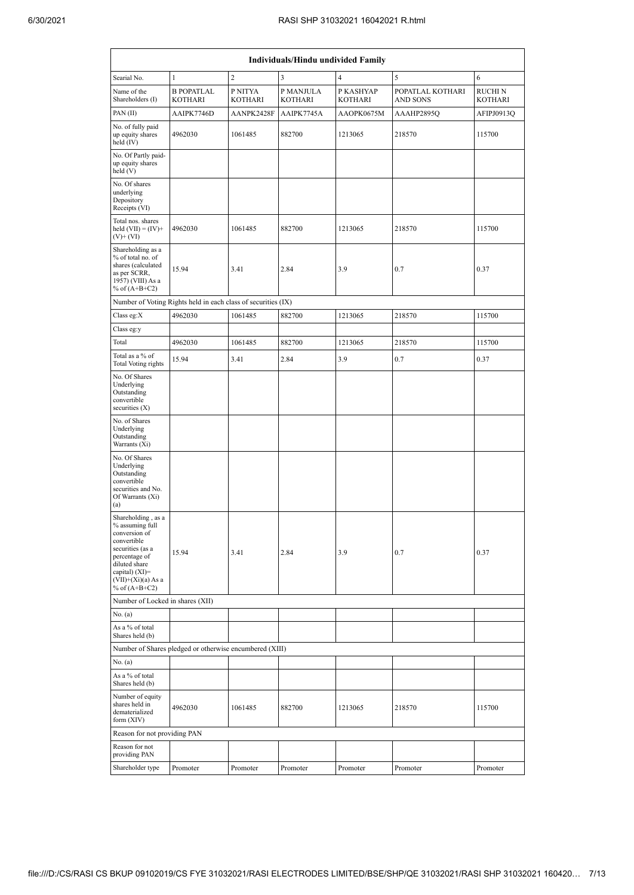| Individuals/Hindu undivided Family                                                                                                                                                         |                                                               |                    |                      |                             |                                     |                    |  |  |  |  |
|--------------------------------------------------------------------------------------------------------------------------------------------------------------------------------------------|---------------------------------------------------------------|--------------------|----------------------|-----------------------------|-------------------------------------|--------------------|--|--|--|--|
| Searial No.                                                                                                                                                                                | $\mathbf{1}$                                                  | $\overline{c}$     | 3                    | $\overline{4}$              | 5                                   | 6                  |  |  |  |  |
| Name of the<br>Shareholders (I)                                                                                                                                                            | <b>B POPATLAL</b><br><b>KOTHARI</b>                           | P NITYA<br>KOTHARI | P MANJULA<br>KOTHARI | P KASHYAP<br><b>KOTHARI</b> | POPATLAL KOTHARI<br><b>AND SONS</b> | RUCHI N<br>KOTHARI |  |  |  |  |
| PAN (II)                                                                                                                                                                                   | AAIPK7746D                                                    | AANPK2428F         | AAIPK7745A           | AAOPK0675M                  | AAAHP2895Q                          | AFIPJ0913Q         |  |  |  |  |
| No. of fully paid<br>up equity shares<br>held (IV)                                                                                                                                         | 4962030                                                       | 1061485            | 882700               | 1213065                     | 218570                              | 115700             |  |  |  |  |
| No. Of Partly paid-<br>up equity shares<br>held (V)                                                                                                                                        |                                                               |                    |                      |                             |                                     |                    |  |  |  |  |
| No. Of shares<br>underlying<br>Depository<br>Receipts (VI)                                                                                                                                 |                                                               |                    |                      |                             |                                     |                    |  |  |  |  |
| Total nos. shares<br>held $(VII) = (IV) +$<br>$(V)$ + $(VI)$                                                                                                                               | 4962030                                                       | 1061485            | 882700               | 1213065                     | 218570                              | 115700             |  |  |  |  |
| Shareholding as a<br>% of total no. of<br>shares (calculated<br>as per SCRR,<br>1957) (VIII) As a<br>% of $(A+B+C2)$                                                                       | 15.94                                                         | 3.41               | 2.84                 | 3.9                         | 0.7                                 | 0.37               |  |  |  |  |
|                                                                                                                                                                                            | Number of Voting Rights held in each class of securities (IX) |                    |                      |                             |                                     |                    |  |  |  |  |
| Class eg:X                                                                                                                                                                                 | 4962030                                                       | 1061485            | 882700               | 1213065                     | 218570                              | 115700             |  |  |  |  |
| Class eg:y                                                                                                                                                                                 |                                                               |                    |                      |                             |                                     |                    |  |  |  |  |
| Total                                                                                                                                                                                      | 4962030                                                       | 1061485            | 882700               | 1213065                     | 218570                              | 115700             |  |  |  |  |
| Total as a % of<br><b>Total Voting rights</b>                                                                                                                                              | 15.94                                                         | 3.41               | 2.84                 | 3.9                         | 0.7                                 | 0.37               |  |  |  |  |
| No. Of Shares<br>Underlying<br>Outstanding<br>convertible<br>securities (X)                                                                                                                |                                                               |                    |                      |                             |                                     |                    |  |  |  |  |
| No. of Shares<br>Underlying<br>Outstanding<br>Warrants (Xi)                                                                                                                                |                                                               |                    |                      |                             |                                     |                    |  |  |  |  |
| No. Of Shares<br>Underlying<br>Outstanding<br>convertible<br>securities and No.<br>Of Warrants (Xi)<br>(a)                                                                                 |                                                               |                    |                      |                             |                                     |                    |  |  |  |  |
| Shareholding, as a<br>% assuming full<br>conversion of<br>convertible<br>securities (as a<br>percentage of<br>diluted share<br>capital) $(XI)=$<br>$(VII)+(Xi)(a)$ As a<br>% of $(A+B+C2)$ | 15.94                                                         | 3.41               | 2.84                 | 3.9                         | 0.7                                 | 0.37               |  |  |  |  |
| Number of Locked in shares (XII)                                                                                                                                                           |                                                               |                    |                      |                             |                                     |                    |  |  |  |  |
| No. (a)                                                                                                                                                                                    |                                                               |                    |                      |                             |                                     |                    |  |  |  |  |
| As a % of total<br>Shares held (b)                                                                                                                                                         |                                                               |                    |                      |                             |                                     |                    |  |  |  |  |
|                                                                                                                                                                                            | Number of Shares pledged or otherwise encumbered (XIII)       |                    |                      |                             |                                     |                    |  |  |  |  |
| No. (a)                                                                                                                                                                                    |                                                               |                    |                      |                             |                                     |                    |  |  |  |  |
| As a % of total<br>Shares held (b)                                                                                                                                                         |                                                               |                    |                      |                             |                                     |                    |  |  |  |  |
| Number of equity<br>shares held in<br>dematerialized<br>form (XIV)                                                                                                                         | 4962030                                                       | 1061485            | 882700               | 1213065                     | 218570                              | 115700             |  |  |  |  |
| Reason for not providing PAN                                                                                                                                                               |                                                               |                    |                      |                             |                                     |                    |  |  |  |  |
| Reason for not<br>providing PAN                                                                                                                                                            |                                                               |                    |                      |                             |                                     |                    |  |  |  |  |
| Shareholder type                                                                                                                                                                           | Promoter                                                      | Promoter           | Promoter             | Promoter                    | Promoter                            | Promoter           |  |  |  |  |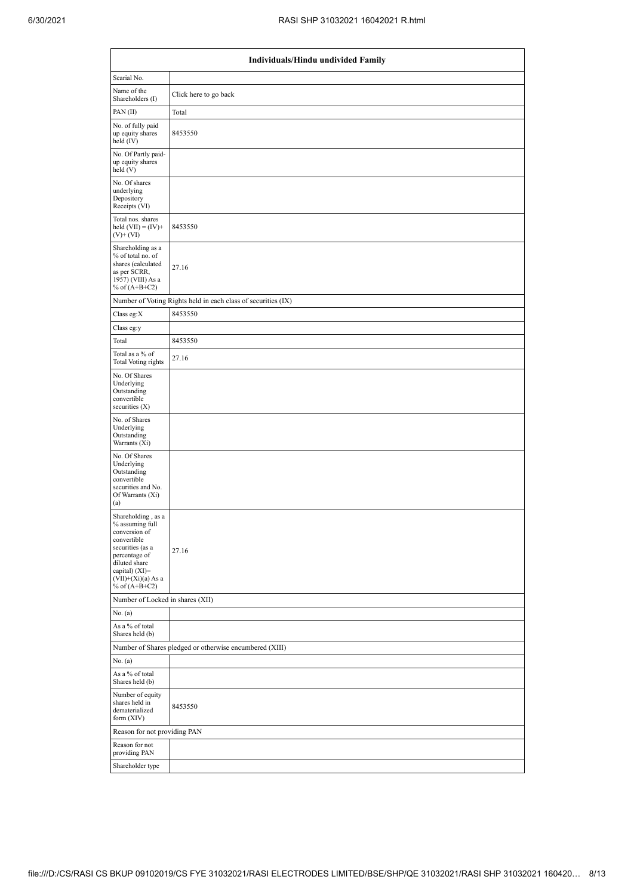| Individuals/Hindu undivided Family                                                                                                                                                          |                                                               |  |  |  |  |  |  |  |
|---------------------------------------------------------------------------------------------------------------------------------------------------------------------------------------------|---------------------------------------------------------------|--|--|--|--|--|--|--|
| Searial No.                                                                                                                                                                                 |                                                               |  |  |  |  |  |  |  |
| Name of the<br>Shareholders (I)                                                                                                                                                             | Click here to go back                                         |  |  |  |  |  |  |  |
| PAN (II)                                                                                                                                                                                    | Total                                                         |  |  |  |  |  |  |  |
| No. of fully paid<br>up equity shares<br>held $(IV)$                                                                                                                                        | 8453550                                                       |  |  |  |  |  |  |  |
| No. Of Partly paid-<br>up equity shares<br>held (V)                                                                                                                                         |                                                               |  |  |  |  |  |  |  |
| No. Of shares<br>underlying<br>Depository<br>Receipts (VI)                                                                                                                                  |                                                               |  |  |  |  |  |  |  |
| Total nos. shares<br>held $(VII) = (IV) +$<br>$(V)$ + $(VI)$                                                                                                                                | 8453550                                                       |  |  |  |  |  |  |  |
| Shareholding as a<br>% of total no. of<br>shares (calculated<br>as per SCRR,<br>1957) (VIII) As a<br>% of $(A+B+C2)$                                                                        | 27.16                                                         |  |  |  |  |  |  |  |
|                                                                                                                                                                                             | Number of Voting Rights held in each class of securities (IX) |  |  |  |  |  |  |  |
| Class eg:X                                                                                                                                                                                  | 8453550                                                       |  |  |  |  |  |  |  |
| Class eg:y                                                                                                                                                                                  |                                                               |  |  |  |  |  |  |  |
| Total                                                                                                                                                                                       | 8453550                                                       |  |  |  |  |  |  |  |
| Total as a % of<br><b>Total Voting rights</b>                                                                                                                                               | 27.16                                                         |  |  |  |  |  |  |  |
| No. Of Shares<br>Underlying<br>Outstanding<br>convertible<br>securities (X)                                                                                                                 |                                                               |  |  |  |  |  |  |  |
| No. of Shares<br>Underlying<br>Outstanding<br>Warrants (Xi)                                                                                                                                 |                                                               |  |  |  |  |  |  |  |
| No. Of Shares<br>Underlying<br>Outstanding<br>convertible<br>securities and No.<br>Of Warrants (Xi)<br>(a)                                                                                  |                                                               |  |  |  |  |  |  |  |
| Shareholding, as a<br>% assuming full<br>conversion of<br>convertible<br>securities (as a<br>percentage of<br>diluted share<br>capital) $(XI)$ =<br>$(VII)+(Xi)(a)$ As a<br>% of $(A+B+C2)$ | 27.16                                                         |  |  |  |  |  |  |  |
| Number of Locked in shares (XII)                                                                                                                                                            |                                                               |  |  |  |  |  |  |  |
| No. (a)                                                                                                                                                                                     |                                                               |  |  |  |  |  |  |  |
| As a % of total<br>Shares held (b)                                                                                                                                                          |                                                               |  |  |  |  |  |  |  |
|                                                                                                                                                                                             | Number of Shares pledged or otherwise encumbered (XIII)       |  |  |  |  |  |  |  |
| No. (a)                                                                                                                                                                                     |                                                               |  |  |  |  |  |  |  |
| As a % of total<br>Shares held (b)                                                                                                                                                          |                                                               |  |  |  |  |  |  |  |
| Number of equity<br>shares held in<br>dematerialized<br>form (XIV)                                                                                                                          | 8453550                                                       |  |  |  |  |  |  |  |
| Reason for not providing PAN                                                                                                                                                                |                                                               |  |  |  |  |  |  |  |
| Reason for not<br>providing PAN                                                                                                                                                             |                                                               |  |  |  |  |  |  |  |
| Shareholder type                                                                                                                                                                            |                                                               |  |  |  |  |  |  |  |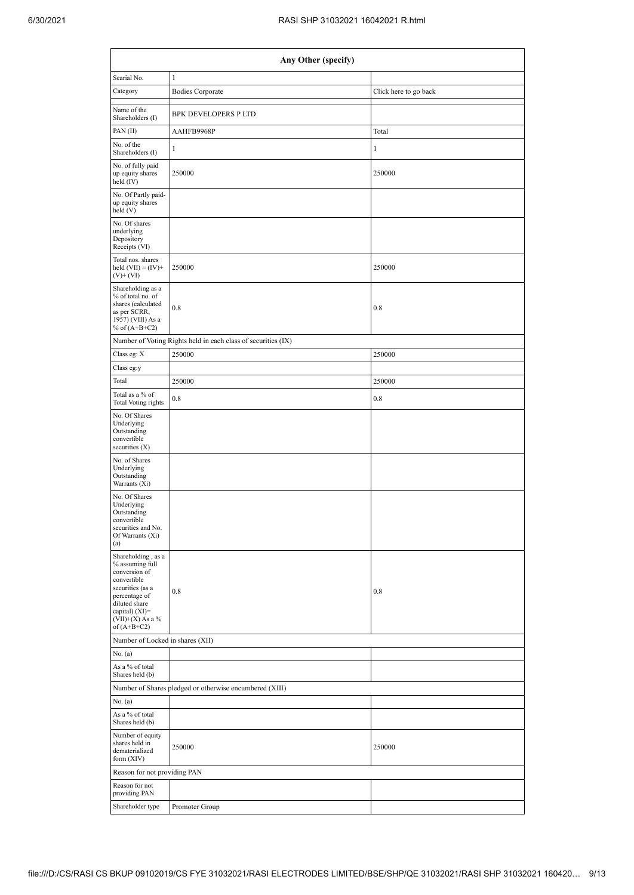| Any Other (specify)                                                                                                                                                                    |                                                               |                       |  |  |  |  |  |  |  |
|----------------------------------------------------------------------------------------------------------------------------------------------------------------------------------------|---------------------------------------------------------------|-----------------------|--|--|--|--|--|--|--|
| Searial No.                                                                                                                                                                            | $\mathbf{1}$                                                  |                       |  |  |  |  |  |  |  |
| Category                                                                                                                                                                               | <b>Bodies Corporate</b>                                       | Click here to go back |  |  |  |  |  |  |  |
| Name of the<br>Shareholders (I)                                                                                                                                                        | <b>BPK DEVELOPERS P LTD</b>                                   |                       |  |  |  |  |  |  |  |
| PAN (II)                                                                                                                                                                               | AAHFB9968P                                                    | Total                 |  |  |  |  |  |  |  |
| No. of the<br>Shareholders (I)                                                                                                                                                         | 1                                                             | $\mathbf{1}$          |  |  |  |  |  |  |  |
| No. of fully paid<br>up equity shares<br>held $(IV)$                                                                                                                                   | 250000                                                        | 250000                |  |  |  |  |  |  |  |
| No. Of Partly paid-<br>up equity shares<br>held (V)                                                                                                                                    |                                                               |                       |  |  |  |  |  |  |  |
| No. Of shares<br>underlying<br>Depository<br>Receipts (VI)                                                                                                                             |                                                               |                       |  |  |  |  |  |  |  |
| Total nos. shares<br>held $(VII) = (IV) +$<br>$(V)$ + $(VI)$                                                                                                                           | 250000                                                        | 250000                |  |  |  |  |  |  |  |
| Shareholding as a<br>% of total no. of<br>shares (calculated<br>as per SCRR,<br>1957) (VIII) As a<br>% of $(A+B+C2)$                                                                   | 0.8                                                           | 0.8                   |  |  |  |  |  |  |  |
|                                                                                                                                                                                        | Number of Voting Rights held in each class of securities (IX) |                       |  |  |  |  |  |  |  |
| Class eg: X                                                                                                                                                                            | 250000                                                        | 250000                |  |  |  |  |  |  |  |
| Class eg:y                                                                                                                                                                             |                                                               |                       |  |  |  |  |  |  |  |
| Total                                                                                                                                                                                  | 250000                                                        | 250000                |  |  |  |  |  |  |  |
| Total as a % of<br><b>Total Voting rights</b>                                                                                                                                          | 0.8                                                           | 0.8                   |  |  |  |  |  |  |  |
| No. Of Shares<br>Underlying<br>Outstanding<br>convertible<br>securities $(X)$                                                                                                          |                                                               |                       |  |  |  |  |  |  |  |
| No. of Shares<br>Underlying<br>Outstanding<br>Warrants (Xi)                                                                                                                            |                                                               |                       |  |  |  |  |  |  |  |
| No. Of Shares<br>Underlying<br>Outstanding<br>convertible<br>securities and No.<br>Of Warrants (Xi)<br>(a)                                                                             |                                                               |                       |  |  |  |  |  |  |  |
| Shareholding, as a<br>% assuming full<br>conversion of<br>convertible<br>securities (as a<br>percentage of<br>diluted share<br>capital) $(XI)=$<br>$(VII)+(X)$ As a %<br>of $(A+B+C2)$ | 0.8                                                           | 0.8                   |  |  |  |  |  |  |  |
| Number of Locked in shares (XII)                                                                                                                                                       |                                                               |                       |  |  |  |  |  |  |  |
| No. (a)                                                                                                                                                                                |                                                               |                       |  |  |  |  |  |  |  |
| As a % of total<br>Shares held (b)                                                                                                                                                     |                                                               |                       |  |  |  |  |  |  |  |
|                                                                                                                                                                                        | Number of Shares pledged or otherwise encumbered (XIII)       |                       |  |  |  |  |  |  |  |
| No. (a)<br>As a % of total                                                                                                                                                             |                                                               |                       |  |  |  |  |  |  |  |
| Shares held (b)<br>Number of equity<br>shares held in<br>dematerialized<br>form (XIV)                                                                                                  | 250000                                                        | 250000                |  |  |  |  |  |  |  |
| Reason for not providing PAN                                                                                                                                                           |                                                               |                       |  |  |  |  |  |  |  |
| Reason for not<br>providing PAN                                                                                                                                                        |                                                               |                       |  |  |  |  |  |  |  |
| Shareholder type                                                                                                                                                                       | Promoter Group                                                |                       |  |  |  |  |  |  |  |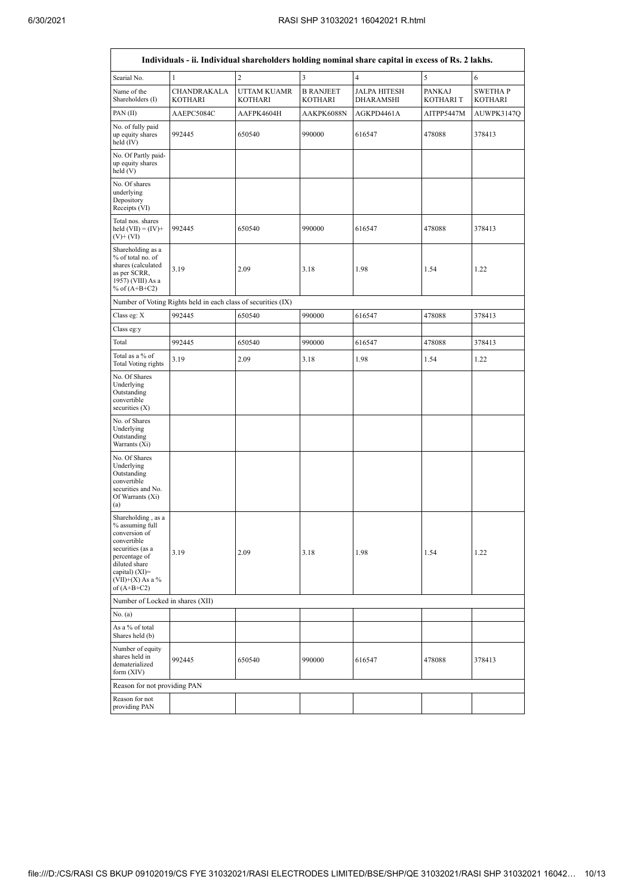| Individuals - ii. Individual shareholders holding nominal share capital in excess of Rs. 2 lakhs.                                                                                      |                                                               |                                      |                             |                                  |                                  |                                  |  |  |  |  |
|----------------------------------------------------------------------------------------------------------------------------------------------------------------------------------------|---------------------------------------------------------------|--------------------------------------|-----------------------------|----------------------------------|----------------------------------|----------------------------------|--|--|--|--|
| Searial No.                                                                                                                                                                            | $\mathbf{1}$                                                  | $\overline{2}$                       | 3                           | $\overline{4}$                   | 5                                | 6                                |  |  |  |  |
| Name of the<br>Shareholders (I)                                                                                                                                                        | CHANDRAKALA<br><b>KOTHARI</b>                                 | <b>UTTAM KUAMR</b><br><b>KOTHARI</b> | <b>B RANJEET</b><br>KOTHARI | <b>JALPA HITESH</b><br>DHARAMSHI | <b>PANKAJ</b><br><b>KOTHARIT</b> | <b>SWETHAP</b><br><b>KOTHARI</b> |  |  |  |  |
| PAN (II)                                                                                                                                                                               | AAEPC5084C                                                    | AAFPK4604H                           | AAKPK6088N                  | AGKPD4461A                       | AITPP5447M                       | AUWPK3147O                       |  |  |  |  |
| No. of fully paid<br>up equity shares<br>held (IV)                                                                                                                                     | 992445                                                        | 650540                               | 990000                      | 616547                           | 478088                           | 378413                           |  |  |  |  |
| No. Of Partly paid-<br>up equity shares<br>held (V)                                                                                                                                    |                                                               |                                      |                             |                                  |                                  |                                  |  |  |  |  |
| No. Of shares<br>underlying<br>Depository<br>Receipts (VI)                                                                                                                             |                                                               |                                      |                             |                                  |                                  |                                  |  |  |  |  |
| Total nos. shares<br>held $(VII) = (IV) +$<br>$(V)$ + $(VI)$                                                                                                                           | 992445                                                        | 650540                               | 990000                      | 616547                           | 478088                           | 378413                           |  |  |  |  |
| Shareholding as a<br>% of total no. of<br>shares (calculated<br>as per SCRR,<br>1957) (VIII) As a<br>% of $(A+B+C2)$                                                                   | 3.19                                                          | 2.09                                 | 3.18                        | 1.98                             | 1.54                             | 1.22                             |  |  |  |  |
|                                                                                                                                                                                        | Number of Voting Rights held in each class of securities (IX) |                                      |                             |                                  |                                  |                                  |  |  |  |  |
| Class eg: X                                                                                                                                                                            | 992445                                                        | 650540                               | 990000                      | 616547                           | 478088                           | 378413                           |  |  |  |  |
| Class eg:y                                                                                                                                                                             |                                                               |                                      |                             |                                  |                                  |                                  |  |  |  |  |
| Total                                                                                                                                                                                  | 992445                                                        | 650540                               | 990000                      | 616547                           | 478088                           | 378413                           |  |  |  |  |
| Total as a % of<br><b>Total Voting rights</b>                                                                                                                                          | 3.19                                                          | 2.09                                 | 3.18                        | 1.98                             | 1.54                             | 1.22                             |  |  |  |  |
| No. Of Shares<br>Underlying<br>Outstanding<br>convertible<br>securities (X)                                                                                                            |                                                               |                                      |                             |                                  |                                  |                                  |  |  |  |  |
| No. of Shares<br>Underlying<br>Outstanding<br>Warrants (Xi)                                                                                                                            |                                                               |                                      |                             |                                  |                                  |                                  |  |  |  |  |
| No. Of Shares<br>Underlying<br>Outstanding<br>convertible<br>securities and No.<br>Of Warrants (Xi)<br>(a)                                                                             |                                                               |                                      |                             |                                  |                                  |                                  |  |  |  |  |
| Shareholding, as a<br>% assuming full<br>conversion of<br>convertible<br>securities (as a<br>percentage of<br>diluted share<br>capital) $(XI)=$<br>$(VII)+(X)$ As a %<br>of $(A+B+C2)$ | 3.19                                                          | 2.09                                 | 3.18                        | 1.98                             | 1.54                             | 1.22                             |  |  |  |  |
| Number of Locked in shares (XII)                                                                                                                                                       |                                                               |                                      |                             |                                  |                                  |                                  |  |  |  |  |
| No. (a)                                                                                                                                                                                |                                                               |                                      |                             |                                  |                                  |                                  |  |  |  |  |
| As a % of total<br>Shares held (b)                                                                                                                                                     |                                                               |                                      |                             |                                  |                                  |                                  |  |  |  |  |
| Number of equity<br>shares held in<br>dematerialized<br>form (XIV)                                                                                                                     | 992445                                                        | 650540                               | 990000                      | 616547                           | 478088                           | 378413                           |  |  |  |  |
| Reason for not providing PAN                                                                                                                                                           |                                                               |                                      |                             |                                  |                                  |                                  |  |  |  |  |
| Reason for not<br>providing PAN                                                                                                                                                        |                                                               |                                      |                             |                                  |                                  |                                  |  |  |  |  |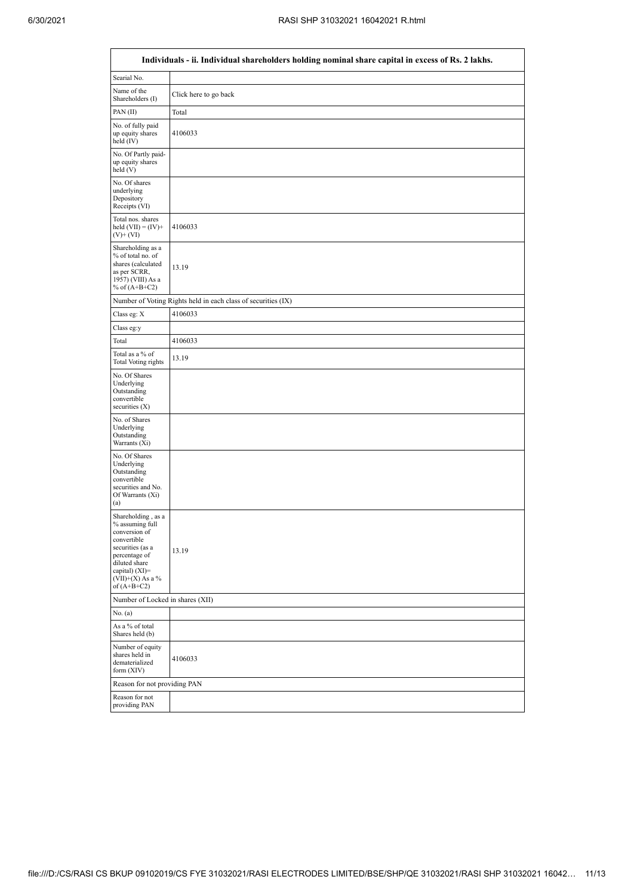|                                                                                                                                                                                        | Individuals - ii. Individual shareholders holding nominal share capital in excess of Rs. 2 lakhs. |
|----------------------------------------------------------------------------------------------------------------------------------------------------------------------------------------|---------------------------------------------------------------------------------------------------|
| Searial No.                                                                                                                                                                            |                                                                                                   |
| Name of the<br>Shareholders (I)                                                                                                                                                        | Click here to go back                                                                             |
| PAN(II)                                                                                                                                                                                | Total                                                                                             |
| No. of fully paid<br>up equity shares<br>held $(IV)$                                                                                                                                   | 4106033                                                                                           |
| No. Of Partly paid-<br>up equity shares<br>held(V)                                                                                                                                     |                                                                                                   |
| No. Of shares<br>underlying<br>Depository<br>Receipts (VI)                                                                                                                             |                                                                                                   |
| Total nos. shares<br>held $(VII) = (IV) +$<br>$(V)$ + $(VI)$                                                                                                                           | 4106033                                                                                           |
| Shareholding as a<br>% of total no. of<br>shares (calculated<br>as per SCRR,<br>1957) (VIII) As a<br>% of $(A+B+C2)$                                                                   | 13.19                                                                                             |
|                                                                                                                                                                                        | Number of Voting Rights held in each class of securities (IX)                                     |
| Class eg: X                                                                                                                                                                            | 4106033                                                                                           |
| Class eg:y                                                                                                                                                                             |                                                                                                   |
| Total                                                                                                                                                                                  | 4106033                                                                                           |
| Total as a % of<br><b>Total Voting rights</b>                                                                                                                                          | 13.19                                                                                             |
| No. Of Shares<br>Underlying<br>Outstanding<br>convertible<br>securities $(X)$                                                                                                          |                                                                                                   |
| No. of Shares<br>Underlying<br>Outstanding<br>Warrants (Xi)                                                                                                                            |                                                                                                   |
| No. Of Shares<br>Underlying<br>Outstanding<br>convertible<br>securities and No.<br>Of Warrants (Xi)<br>(a)                                                                             |                                                                                                   |
| Shareholding, as a<br>% assuming full<br>conversion of<br>convertible<br>securities (as a<br>percentage of<br>diluted share<br>capital) $(XI)=$<br>$(VII)+(X)$ As a %<br>of $(A+B+C2)$ | 13.19                                                                                             |
| Number of Locked in shares (XII)                                                                                                                                                       |                                                                                                   |
| No. (a)                                                                                                                                                                                |                                                                                                   |
| As a % of total<br>Shares held (b)                                                                                                                                                     |                                                                                                   |
| Number of equity<br>shares held in<br>dematerialized<br>form $(XIV)$                                                                                                                   | 4106033                                                                                           |
| Reason for not providing PAN                                                                                                                                                           |                                                                                                   |
| Reason for not<br>providing PAN                                                                                                                                                        |                                                                                                   |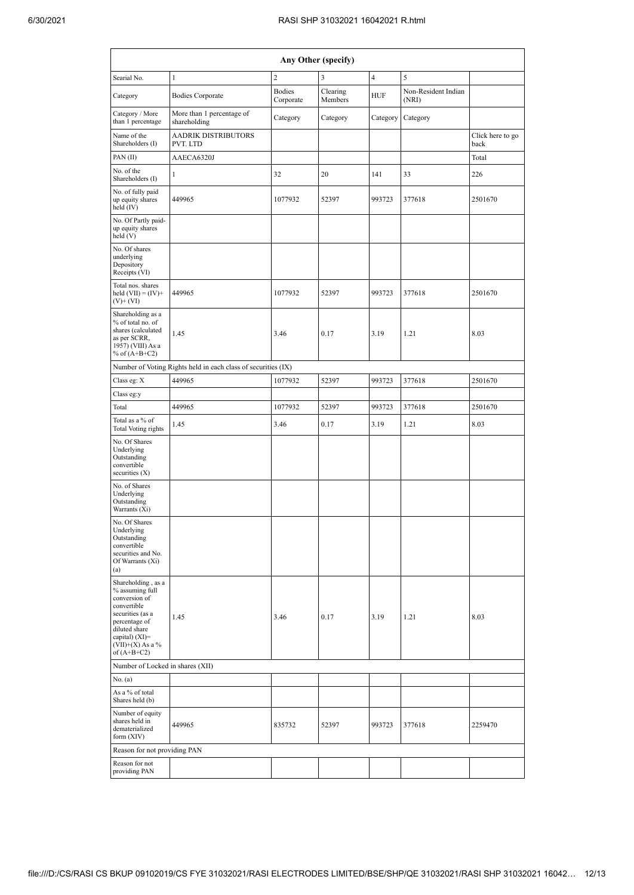|                                                                                                                                                                                      | Any Other (specify)                                           |                            |                     |                |                              |                          |  |  |  |  |  |
|--------------------------------------------------------------------------------------------------------------------------------------------------------------------------------------|---------------------------------------------------------------|----------------------------|---------------------|----------------|------------------------------|--------------------------|--|--|--|--|--|
| Searial No.                                                                                                                                                                          | $\mathbf{1}$                                                  | $\overline{2}$             | 3                   | $\overline{4}$ | 5                            |                          |  |  |  |  |  |
| Category                                                                                                                                                                             | <b>Bodies Corporate</b>                                       | <b>Bodies</b><br>Corporate | Clearing<br>Members | <b>HUF</b>     | Non-Resident Indian<br>(NRI) |                          |  |  |  |  |  |
| Category / More<br>than 1 percentage                                                                                                                                                 | More than 1 percentage of<br>shareholding                     | Category                   | Category            | Category       | Category                     |                          |  |  |  |  |  |
| Name of the<br>Shareholders (I)                                                                                                                                                      | <b>AADRIK DISTRIBUTORS</b><br>PVT. LTD                        |                            |                     |                |                              | Click here to go<br>back |  |  |  |  |  |
| PAN (II)                                                                                                                                                                             | AAECA6320J                                                    |                            |                     |                |                              | Total                    |  |  |  |  |  |
| No. of the<br>Shareholders (I)                                                                                                                                                       | 1                                                             | 32                         | 20                  | 141            | 33                           | 226                      |  |  |  |  |  |
| No. of fully paid<br>up equity shares<br>held (IV)                                                                                                                                   | 449965                                                        | 1077932                    | 52397               | 993723         | 377618                       | 2501670                  |  |  |  |  |  |
| No. Of Partly paid-<br>up equity shares<br>held (V)                                                                                                                                  |                                                               |                            |                     |                |                              |                          |  |  |  |  |  |
| No. Of shares<br>underlying<br>Depository<br>Receipts (VI)                                                                                                                           |                                                               |                            |                     |                |                              |                          |  |  |  |  |  |
| Total nos. shares<br>held $(VII) = (IV) +$<br>$(V)$ + $(VI)$                                                                                                                         | 449965                                                        | 1077932                    | 52397               | 993723         | 377618                       | 2501670                  |  |  |  |  |  |
| Shareholding as a<br>% of total no. of<br>shares (calculated<br>as per SCRR,<br>1957) (VIII) As a<br>% of $(A+B+C2)$                                                                 | 1.45                                                          | 3.46                       | 0.17                | 3.19           | 1.21                         | 8.03                     |  |  |  |  |  |
|                                                                                                                                                                                      | Number of Voting Rights held in each class of securities (IX) |                            |                     |                |                              |                          |  |  |  |  |  |
| Class eg: X                                                                                                                                                                          | 449965                                                        | 1077932                    | 52397               | 993723         | 377618                       | 2501670                  |  |  |  |  |  |
| Class eg:y                                                                                                                                                                           |                                                               |                            |                     |                |                              |                          |  |  |  |  |  |
| Total                                                                                                                                                                                | 449965                                                        | 1077932                    | 52397               | 993723         | 377618                       | 2501670                  |  |  |  |  |  |
| Total as a % of<br><b>Total Voting rights</b>                                                                                                                                        | 1.45                                                          | 3.46                       | 0.17                | 3.19           | 1.21                         | 8.03                     |  |  |  |  |  |
| No. Of Shares<br>Underlying<br>Outstanding<br>convertible<br>securities (X)                                                                                                          |                                                               |                            |                     |                |                              |                          |  |  |  |  |  |
| No. of Shares<br>Underlying<br>Outstanding<br>Warrants (Xi)                                                                                                                          |                                                               |                            |                     |                |                              |                          |  |  |  |  |  |
| No. Of Shares<br>Underlying<br>Outstanding<br>convertible<br>securities and No.<br>Of Warrants (Xi)<br>(a)                                                                           |                                                               |                            |                     |                |                              |                          |  |  |  |  |  |
| Shareholding, as a<br>% assuming full<br>conversion of<br>convertible<br>securities (as a<br>percentage of<br>diluted share<br>capital) (XI)=<br>$(VII)+(X)$ As a %<br>of $(A+B+C2)$ | 1.45                                                          | 3.46                       | 0.17                | 3.19           | 1.21                         | 8.03                     |  |  |  |  |  |
| Number of Locked in shares (XII)                                                                                                                                                     |                                                               |                            |                     |                |                              |                          |  |  |  |  |  |
| No. (a)                                                                                                                                                                              |                                                               |                            |                     |                |                              |                          |  |  |  |  |  |
| As a % of total<br>Shares held (b)                                                                                                                                                   |                                                               |                            |                     |                |                              |                          |  |  |  |  |  |
| Number of equity<br>shares held in<br>dematerialized<br>form (XIV)                                                                                                                   | 449965                                                        | 835732                     | 52397               | 993723         | 377618                       | 2259470                  |  |  |  |  |  |
| Reason for not providing PAN                                                                                                                                                         |                                                               |                            |                     |                |                              |                          |  |  |  |  |  |
| Reason for not<br>providing PAN                                                                                                                                                      |                                                               |                            |                     |                |                              |                          |  |  |  |  |  |